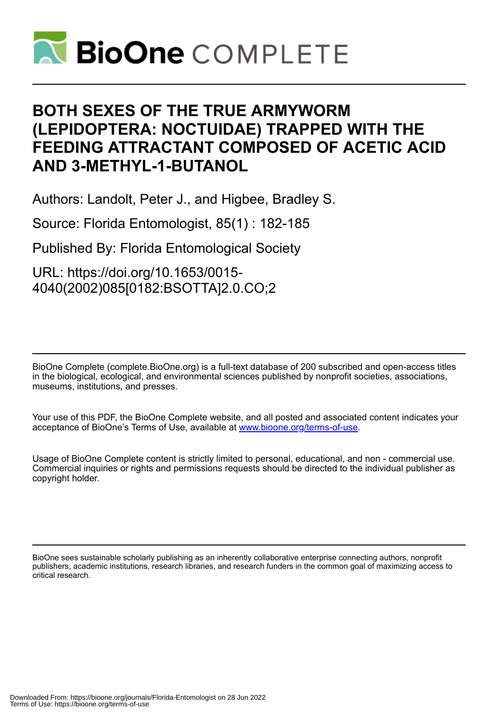

# **BOTH SEXES OF THE TRUE ARMYWORM (LEPIDOPTERA: NOCTUIDAE) TRAPPED WITH THE FEEDING ATTRACTANT COMPOSED OF ACETIC ACID AND 3-METHYL-1-BUTANOL**

Authors: Landolt, Peter J., and Higbee, Bradley S.

Source: Florida Entomologist, 85(1) : 182-185

Published By: Florida Entomological Society

URL: https://doi.org/10.1653/0015- 4040(2002)085[0182:BSOTTA]2.0.CO;2

BioOne Complete (complete.BioOne.org) is a full-text database of 200 subscribed and open-access titles in the biological, ecological, and environmental sciences published by nonprofit societies, associations, museums, institutions, and presses.

Your use of this PDF, the BioOne Complete website, and all posted and associated content indicates your acceptance of BioOne's Terms of Use, available at www.bioone.org/terms-of-use.

Usage of BioOne Complete content is strictly limited to personal, educational, and non - commercial use. Commercial inquiries or rights and permissions requests should be directed to the individual publisher as copyright holder.

BioOne sees sustainable scholarly publishing as an inherently collaborative enterprise connecting authors, nonprofit publishers, academic institutions, research libraries, and research funders in the common goal of maximizing access to critical research.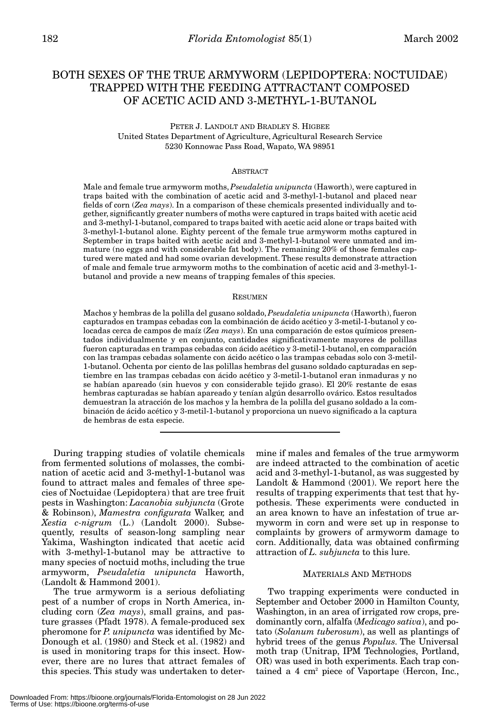# BOTH SEXES OF THE TRUE ARMYWORM (LEPIDOPTERA: NOCTUIDAE) TRAPPED WITH THE FEEDING ATTRACTANT COMPOSED OF ACETIC ACID AND 3-METHYL-1-BUTANOL

PETER J. LANDOLT AND BRADLEY S. HIGBEE United States Department of Agriculture, Agricultural Research Service 5230 Konnowac Pass Road, Wapato, WA 98951

### ABSTRACT

Male and female true armyworm moths, *Pseudaletia unipuncta* (Haworth), were captured in traps baited with the combination of acetic acid and 3-methyl-1-butanol and placed near fields of corn (*Zea mays*). In a comparison of these chemicals presented individually and together, significantly greater numbers of moths were captured in traps baited with acetic acid and 3-methyl-1-butanol, compared to traps baited with acetic acid alone or traps baited with 3-methyl-1-butanol alone. Eighty percent of the female true armyworm moths captured in September in traps baited with acetic acid and 3-methyl-1-butanol were unmated and immature (no eggs and with considerable fat body). The remaining 20% of those females captured were mated and had some ovarian development. These results demonstrate attraction of male and female true armyworm moths to the combination of acetic acid and 3-methyl-1 butanol and provide a new means of trapping females of this species.

#### RESUMEN

Machos y hembras de la polilla del gusano soldado, *Pseudaletia unipuncta* (Haworth), fueron capturados en trampas cebadas con la combinación de ácido acético y 3-metil-1-butanol y colocadas cerca de campos de maíz (*Zea mays*). En una comparación de estos químicos presentados individualmente y en conjunto, cantidades significativamente mayores de polillas fueron capturadas en trampas cebadas con ácido acético y 3-metil-1-butanol, en comparación con las trampas cebadas solamente con ácido acético o las trampas cebadas solo con 3-metil-1-butanol. Ochenta por ciento de las polillas hembras del gusano soldado capturadas en septiembre en las trampas cebadas con ácido acético y 3-metil-1-butanol eran inmaduras y no se habían apareado (sin huevos y con considerable tejido graso). El 20% restante de esas hembras capturadas se habían apareado y tenían algún desarrollo ovárico. Estos resultados demuestran la atracción de los machos y la hembra de la polilla del gusano soldado a la combinación de ácido acético y 3-metil-1-butanol y proporciona un nuevo significado a la captura de hembras de esta especie.

During trapping studies of volatile chemicals from fermented solutions of molasses, the combination of acetic acid and 3-methyl-1-butanol was found to attract males and females of three species of Noctuidae (Lepidoptera) that are tree fruit pests in Washington: *Lacanobia subjuncta* (Grote & Robinson), *Mamestra configurata* Walker*,* and *Xestia c-nigrum* (L.) (Landolt 2000). Subsequently, results of season-long sampling near Yakima, Washington indicated that acetic acid with 3-methyl-1-butanol may be attractive to many species of noctuid moths, including the true armyworm, *Pseudaletia unipuncta* Haworth, (Landolt & Hammond 2001).

The true armyworm is a serious defoliating pest of a number of crops in North America, including corn (*Zea mays*), small grains, and pasture grasses (Pfadt 1978). A female-produced sex pheromone for *P. unipuncta* was identified by Mc-Donough et al. (1980) and Steck et al. (1982) and is used in monitoring traps for this insect. However, there are no lures that attract females of this species. This study was undertaken to determine if males and females of the true armyworm are indeed attracted to the combination of acetic acid and 3-methyl-1-butanol, as was suggested by Landolt & Hammond (2001). We report here the results of trapping experiments that test that hypothesis. These experiments were conducted in an area known to have an infestation of true armyworm in corn and were set up in response to complaints by growers of armyworm damage to corn. Additionally, data was obtained confirming attraction of *L. subjuncta* to this lure.

#### MATERIALS AND METHODS

Two trapping experiments were conducted in September and October 2000 in Hamilton County, Washington, in an area of irrigated row crops, predominantly corn, alfalfa (*Medicago sativa*), and potato (*Solanum tuberosum*), as well as plantings of hybrid trees of the genus *Populus*. The Universal moth trap (Unitrap, IPM Technologies, Portland, OR) was used in both experiments. Each trap contained a 4 cm<sup>2</sup> piece of Vaportape (Hercon, Inc.,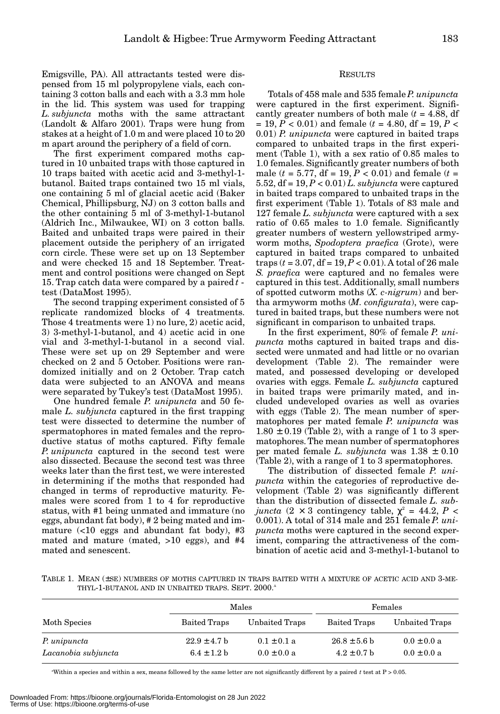Emigsville, PA). All attractants tested were dispensed from 15 ml polypropylene vials, each containing 3 cotton balls and each with a 3.3 mm hole in the lid. This system was used for trapping *L. subjuncta* moths with the same attractant (Landolt & Alfaro 2001). Traps were hung from stakes at a height of 1.0 m and were placed 10 to 20 m apart around the periphery of a field of corn.

The first experiment compared moths captured in 10 unbaited traps with those captured in 10 traps baited with acetic acid and 3-methyl-1 butanol. Baited traps contained two 15 ml vials, one containing 5 ml of glacial acetic acid (Baker Chemical, Phillipsburg, NJ) on 3 cotton balls and the other containing 5 ml of 3-methyl-1-butanol (Aldrich Inc., Milwaukee, WI) on 3 cotton balls. Baited and unbaited traps were paired in their placement outside the periphery of an irrigated corn circle. These were set up on 13 September and were checked 15 and 18 September. Treatment and control positions were changed on Sept 15. Trap catch data were compared by a paired *t* test (DataMost 1995).

The second trapping experiment consisted of 5 replicate randomized blocks of 4 treatments. Those 4 treatments were 1) no lure, 2) acetic acid, 3) 3-methyl-1-butanol, and 4) acetic acid in one vial and 3-methyl-1-butanol in a second vial. These were set up on 29 September and were checked on 2 and 5 October. Positions were randomized initially and on 2 October. Trap catch data were subjected to an ANOVA and means were separated by Tukey's test (DataMost 1995).

One hundred female *P. unipuncta* and 50 female *L. subjuncta* captured in the first trapping test were dissected to determine the number of spermatophores in mated females and the reproductive status of moths captured. Fifty female *P. unipuncta* captured in the second test were also dissected. Because the second test was three weeks later than the first test, we were interested in determining if the moths that responded had changed in terms of reproductive maturity. Females were scored from 1 to 4 for reproductive status, with #1 being unmated and immature (no eggs, abundant fat body), # 2 being mated and immature  $\left($  <10 eggs and abundant fat body), #3 mated and mature (mated, >10 eggs), and #4 mated and senescent.

## RESULTS

Totals of 458 male and 535 female*P. unipuncta* were captured in the first experiment. Significantly greater numbers of both male  $(t = 4.88, df)$ = 19, *P* < 0.01) and female (*t* = 4.80, df = 19, *P* < 0.01) *P. unipuncta* were captured in baited traps compared to unbaited traps in the first experiment (Table 1), with a sex ratio of 0.85 males to 1.0 females. Significantly greater numbers of both male ( $t = 5.77$ , df = 19,  $P < 0.01$ ) and female ( $t =$ 5.52, df = 19, *P* < 0.01) *L. subjuncta* were captured in baited traps compared to unbaited traps in the first experiment (Table 1). Totals of 83 male and 127 female *L. subjuncta* were captured with a sex ratio of 0.65 males to 1.0 female. Significantly greater numbers of western yellowstriped armyworm moths, *Spodoptera praefica* (Grote), were captured in baited traps compared to unbaited traps  $(t = 3.07, df = 19, P < 0.01)$ . A total of 26 male *S. praefica* were captured and no females were captured in this test. Additionally, small numbers of spotted cutworm moths (*X. c-nigrum*) and bertha armyworm moths (*M. configurata*), were captured in baited traps, but these numbers were not significant in comparison to unbaited traps.

In the first experiment, 80% of female *P. unipuncta* moths captured in baited traps and dissected were unmated and had little or no ovarian development (Table 2). The remainder were mated, and possessed developing or developed ovaries with eggs. Female *L. subjuncta* captured in baited traps were primarily mated, and included undeveloped ovaries as well as ovaries with eggs (Table 2). The mean number of spermatophores per mated female *P. unipuncta* was  $1.80 \pm 0.19$  (Table 2), with a range of 1 to 3 spermatophores. The mean number of spermatophores per mated female *L. subjuncta* was 1.38 ± 0.10 (Table 2), with a range of 1 to 3 spermatophores.

The distribution of dissected female *P. unipuncta* within the categories of reproductive development (Table 2) was significantly different than the distribution of dissected female *L. subjuncta*  $(2 \times 3$  contingency table,  $\chi^2 = 44.2$ ,  $P \leq$ 0.001). A total of 314 male and 251 female *P. unipuncta* moths were captured in the second experiment, comparing the attractiveness of the combination of acetic acid and 3-methyl-1-butanol to

TABLE 1. MEAN (±SE) NUMBERS OF MOTHS CAPTURED IN TRAPS BAITED WITH A MIXTURE OF ACETIC ACID AND 3-ME-THYL-1-BUTANOL AND IN UNBAITED TRAPS. SEPT. 2000.<sup>A</sup>

|                                     |                                     | Males                              | Females                             |                                    |  |
|-------------------------------------|-------------------------------------|------------------------------------|-------------------------------------|------------------------------------|--|
| Moth Species                        | Baited Traps                        | Unbaited Traps                     | Baited Traps                        | Unbaited Traps                     |  |
| P. unipuncta<br>Lacanobia subjuncta | $22.9 \pm 4.7$ b<br>$6.4 \pm 1.2 h$ | $0.1 \pm 0.1 a$<br>$0.0 \pm 0.0 a$ | $26.8 \pm 5.6$ b<br>$4.2 \pm 0.7$ b | $0.0 \pm 0.0 a$<br>$0.0 \pm 0.0 a$ |  |

a Within a species and within a sex, means followed by the same letter are not significantly different by a paired *t* test at P > 0.05.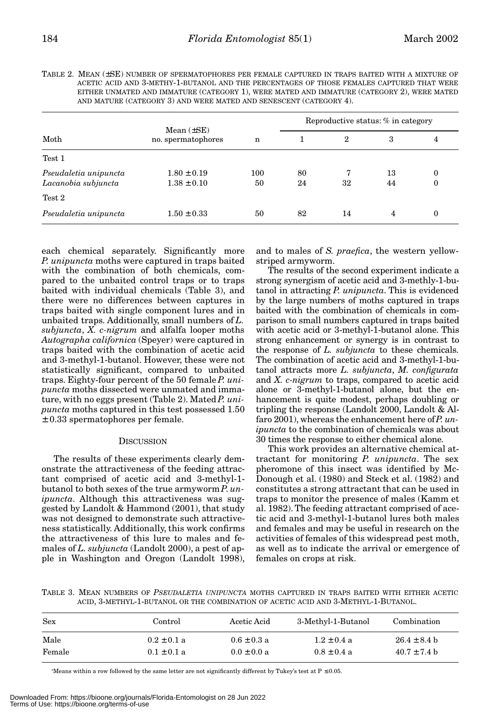| Moth                  | Mean $(\pm SE)$<br>no. spermatophores | n   | Reproductive status: % in category |              |    |                  |
|-----------------------|---------------------------------------|-----|------------------------------------|--------------|----|------------------|
|                       |                                       |     |                                    | $\mathbf{2}$ | 3  | 4                |
| Test 1                |                                       |     |                                    |              |    |                  |
| Pseudaletia unipuncta | $1.80 \pm 0.19$                       | 100 | 80                                 |              | 13 | $\boldsymbol{0}$ |
| Lacanobia subjuncta   | $1.38 \pm 0.10$                       | 50  | 24                                 | 32           | 44 | $\boldsymbol{0}$ |
| $Test\ 2$             |                                       |     |                                    |              |    |                  |
| Pseudaletia unipuncta | $1.50 \pm 0.33$                       | 50  | 82                                 | 14           | 4  | $\boldsymbol{0}$ |

TABLE 2. MEAN (±SE) NUMBER OF SPERMATOPHORES PER FEMALE CAPTURED IN TRAPS BAITED WITH A MIXTURE OF ACETIC ACID AND 3-METHY-1-BUTANOL AND THE PERCENTAGES OF THOSE FEMALES CAPTURED THAT WERE EITHER UNMATED AND IMMATURE (CATEGORY 1), WERE MATED AND IMMATURE (CATEGORY 2), WERE MATED AND MATURE (CATEGORY 3) AND WERE MATED AND SENESCENT (CATEGORY 4).

each chemical separately. Significantly more *P. unipuncta* moths were captured in traps baited with the combination of both chemicals, compared to the unbaited control traps or to traps baited with individual chemicals (Table 3), and there were no differences between captures in traps baited with single component lures and in unbaited traps. Additionally, small numbers of *L. subjuncta*, *X. c-nigrum* and alfalfa looper moths *Autographa californica* (Speyer) were captured in traps baited with the combination of acetic acid and 3-methyl-1-butanol. However, these were not statistically significant, compared to unbaited traps. Eighty-four percent of the 50 female *P. unipuncta* moths dissected were unmated and immature, with no eggs present (Table 2). Mated *P. unipuncta* moths captured in this test possessed 1.50 ± 0.33 spermatophores per female.

#### **DISCUSSION**

The results of these experiments clearly demonstrate the attractiveness of the feeding attractant comprised of acetic acid and 3-methyl-1 butanol to both sexes of the true armyworm *P*. *unipuncta*. Although this attractiveness was suggested by Landolt & Hammond (2001), that study was not designed to demonstrate such attractiveness statistically. Additionally, this work confirms the attractiveness of this lure to males and females of *L. subjuncta* (Landolt 2000), a pest of apple in Washington and Oregon (Landolt 1998),

and to males of *S. praefica*, the western yellowstriped armyworm.

The results of the second experiment indicate a strong synergism of acetic acid and 3-methly-1-butanol in attracting *P. unipuncta*. This is evidenced by the large numbers of moths captured in traps baited with the combination of chemicals in comparison to small numbers captured in traps baited with acetic acid or 3-methyl-1-butanol alone. This strong enhancement or synergy is in contrast to the response of *L. subjuncta* to these chemicals. The combination of acetic acid and 3-methyl-1-butanol attracts more *L. subjuncta*, *M. configurata* and *X. c-nigrum* to traps, compared to acetic acid alone or 3-methyl-1-butanol alone, but the enhancement is quite modest, perhaps doubling or tripling the response (Landolt 2000, Landolt & Alfaro 2001), whereas the enhancement here of *P. unipuncta* to the combination of chemicals was about 30 times the response to either chemical alone.

This work provides an alternative chemical attractant for monitoring *P. unipuncta*. The sex pheromone of this insect was identified by Mc-Donough et al. (1980) and Steck et al. (1982) and constitutes a strong attractant that can be used in traps to monitor the presence of males (Kamm et al. 1982). The feeding attractant comprised of acetic acid and 3-methyl-1-butanol lures both males and females and may be useful in research on the activities of females of this widespread pest moth, as well as to indicate the arrival or emergence of females on crops at risk.

TABLE 3. MEAN NUMBERS OF *PSEUDALETIA UNIPUNCTA* MOTHS CAPTURED IN TRAPS BAITED WITH EITHER ACETIC ACID, 3-METHYL-1-BUTANOL OR THE COMBINATION OF ACETIC ACID AND 3-METHYL-1-BUTANOL.

| <b>Sex</b> | Control         | Acetic Acid     | 3-Methyl-1-Butanol | Combination      |
|------------|-----------------|-----------------|--------------------|------------------|
| Male       | $0.2 \pm 0.1$ a | $0.6 \pm 0.3 a$ | $1.2 \pm 0.4$ a    | $26.4 \pm 8.4$ b |
| Female     | $0.1 \pm 0.1 a$ | $0.0 \pm 0.0 a$ | $0.8 \pm 0.4$ a    | $40.7 \pm 7.4$ b |

a Means within a row followed by the same letter are not significantly different by Tukey's test at P ≤ 0.05.